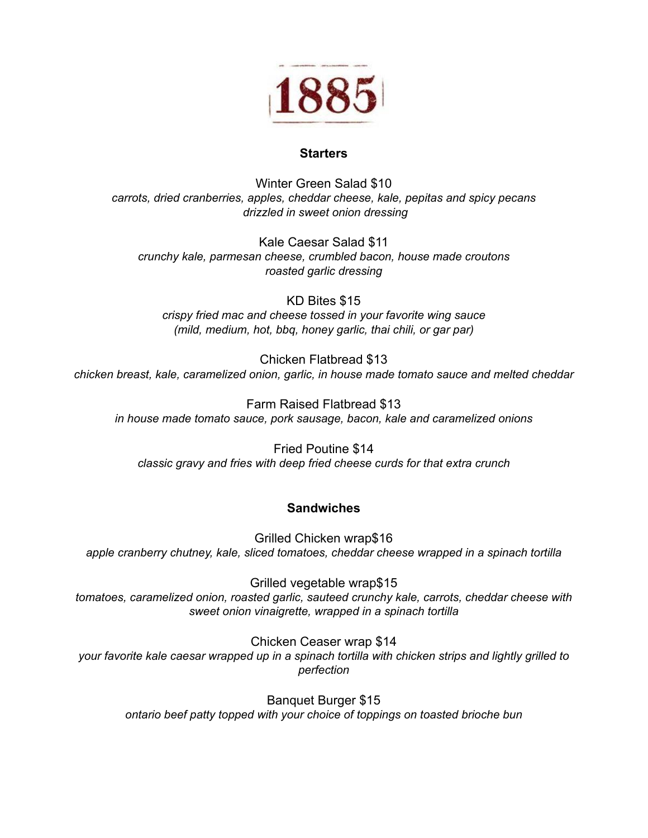

## **Starters**

Winter Green Salad \$10 *carrots, dried cranberries, apples, cheddar cheese, kale, pepitas and spicy pecans drizzled in sweet onion dressing*

Kale Caesar Salad \$11 *crunchy kale, parmesan cheese, crumbled bacon, house made croutons roasted garlic dressing*

KD Bites \$15 *crispy fried mac and cheese tossed in your favorite wing sauce (mild, medium, hot, bbq, honey garlic, thai chili, or gar par)*

Chicken Flatbread \$13 *chicken breast, kale, caramelized onion, garlic, in house made tomato sauce and melted cheddar*

Farm Raised Flatbread \$13 *in house made tomato sauce, pork sausage, bacon, kale and caramelized onions*

Fried Poutine \$14 *classic gravy and fries with deep fried cheese curds for that extra crunch*

## **Sandwiches**

Grilled Chicken wrap\$16 *apple cranberry chutney, kale, sliced tomatoes, cheddar cheese wrapped in a spinach tortilla*

Grilled vegetable wrap\$15 *tomatoes, caramelized onion, roasted garlic, sauteed crunchy kale, carrots, cheddar cheese with sweet onion vinaigrette, wrapped in a spinach tortilla*

Chicken Ceaser wrap \$14 *your favorite kale caesar wrapped up in a spinach tortilla with chicken strips and lightly grilled to perfection*

Banquet Burger \$15 *ontario beef patty topped with your choice of toppings on toasted brioche bun*